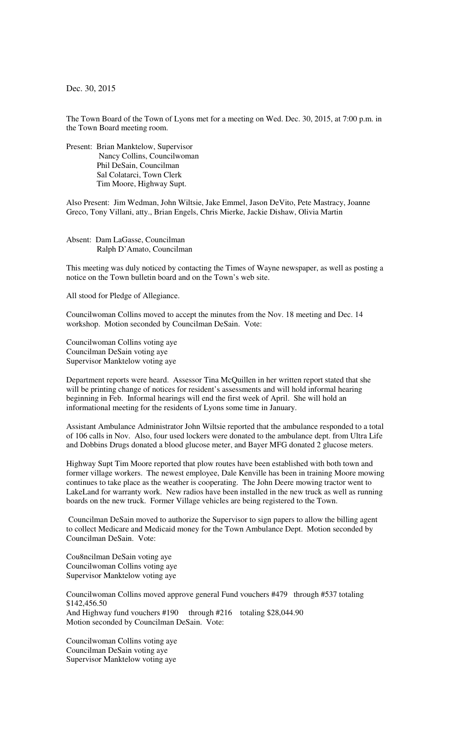Dec. 30, 2015

The Town Board of the Town of Lyons met for a meeting on Wed. Dec. 30, 2015, at 7:00 p.m. in the Town Board meeting room.

Present: Brian Manktelow, Supervisor Nancy Collins, Councilwoman Phil DeSain, Councilman Sal Colatarci, Town Clerk Tim Moore, Highway Supt.

Also Present: Jim Wedman, John Wiltsie, Jake Emmel, Jason DeVito, Pete Mastracy, Joanne Greco, Tony Villani, atty., Brian Engels, Chris Mierke, Jackie Dishaw, Olivia Martin

Absent: Dam LaGasse, Councilman Ralph D'Amato, Councilman

This meeting was duly noticed by contacting the Times of Wayne newspaper, as well as posting a notice on the Town bulletin board and on the Town's web site.

All stood for Pledge of Allegiance.

Councilwoman Collins moved to accept the minutes from the Nov. 18 meeting and Dec. 14 workshop. Motion seconded by Councilman DeSain. Vote:

Councilwoman Collins voting aye Councilman DeSain voting aye Supervisor Manktelow voting aye

Department reports were heard. Assessor Tina McQuillen in her written report stated that she will be printing change of notices for resident's assessments and will hold informal hearing beginning in Feb. Informal hearings will end the first week of April. She will hold an informational meeting for the residents of Lyons some time in January.

Assistant Ambulance Administrator John Wiltsie reported that the ambulance responded to a total of 106 calls in Nov. Also, four used lockers were donated to the ambulance dept. from Ultra Life and Dobbins Drugs donated a blood glucose meter, and Bayer MFG donated 2 glucose meters.

Highway Supt Tim Moore reported that plow routes have been established with both town and former village workers. The newest employee, Dale Kenville has been in training Moore mowing continues to take place as the weather is cooperating. The John Deere mowing tractor went to LakeLand for warranty work. New radios have been installed in the new truck as well as running boards on the new truck. Former Village vehicles are being registered to the Town.

 Councilman DeSain moved to authorize the Supervisor to sign papers to allow the billing agent to collect Medicare and Medicaid money for the Town Ambulance Dept. Motion seconded by Councilman DeSain. Vote:

Cou8ncilman DeSain voting aye Councilwoman Collins voting aye Supervisor Manktelow voting aye

Councilwoman Collins moved approve general Fund vouchers #479 through #537 totaling \$142,456.50 And Highway fund vouchers #190 through #216 totaling \$28,044.90 Motion seconded by Councilman DeSain. Vote:

Councilwoman Collins voting aye Councilman DeSain voting aye Supervisor Manktelow voting aye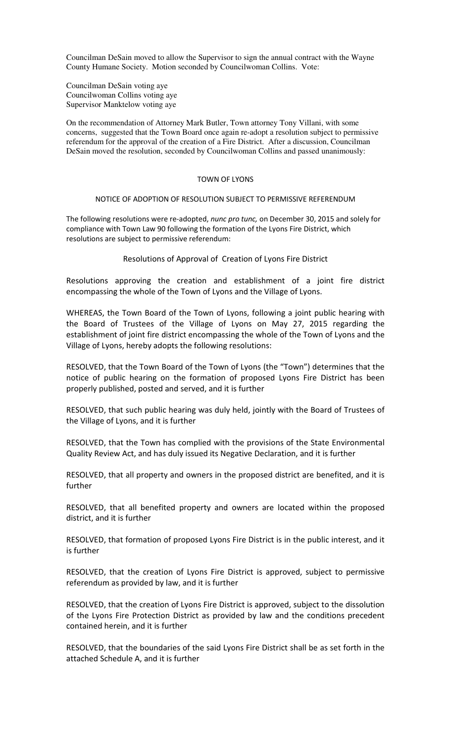Councilman DeSain moved to allow the Supervisor to sign the annual contract with the Wayne County Humane Society. Motion seconded by Councilwoman Collins. Vote:

Councilman DeSain voting aye Councilwoman Collins voting aye Supervisor Manktelow voting aye

On the recommendation of Attorney Mark Butler, Town attorney Tony Villani, with some concerns, suggested that the Town Board once again re-adopt a resolution subject to permissive referendum for the approval of the creation of a Fire District. After a discussion, Councilman DeSain moved the resolution, seconded by Councilwoman Collins and passed unanimously:

## TOWN OF LYONS

## NOTICE OF ADOPTION OF RESOLUTION SUBJECT TO PERMISSIVE REFERENDUM

The following resolutions were re-adopted, nunc pro tunc, on December 30, 2015 and solely for compliance with Town Law 90 following the formation of the Lyons Fire District, which resolutions are subject to permissive referendum:

## Resolutions of Approval of Creation of Lyons Fire District

Resolutions approving the creation and establishment of a joint fire district encompassing the whole of the Town of Lyons and the Village of Lyons.

WHEREAS, the Town Board of the Town of Lyons, following a joint public hearing with the Board of Trustees of the Village of Lyons on May 27, 2015 regarding the establishment of joint fire district encompassing the whole of the Town of Lyons and the Village of Lyons, hereby adopts the following resolutions:

RESOLVED, that the Town Board of the Town of Lyons (the "Town") determines that the notice of public hearing on the formation of proposed Lyons Fire District has been properly published, posted and served, and it is further

RESOLVED, that such public hearing was duly held, jointly with the Board of Trustees of the Village of Lyons, and it is further

RESOLVED, that the Town has complied with the provisions of the State Environmental Quality Review Act, and has duly issued its Negative Declaration, and it is further

RESOLVED, that all property and owners in the proposed district are benefited, and it is further

RESOLVED, that all benefited property and owners are located within the proposed district, and it is further

RESOLVED, that formation of proposed Lyons Fire District is in the public interest, and it is further

RESOLVED, that the creation of Lyons Fire District is approved, subject to permissive referendum as provided by law, and it is further

RESOLVED, that the creation of Lyons Fire District is approved, subject to the dissolution of the Lyons Fire Protection District as provided by law and the conditions precedent contained herein, and it is further

RESOLVED, that the boundaries of the said Lyons Fire District shall be as set forth in the attached Schedule A, and it is further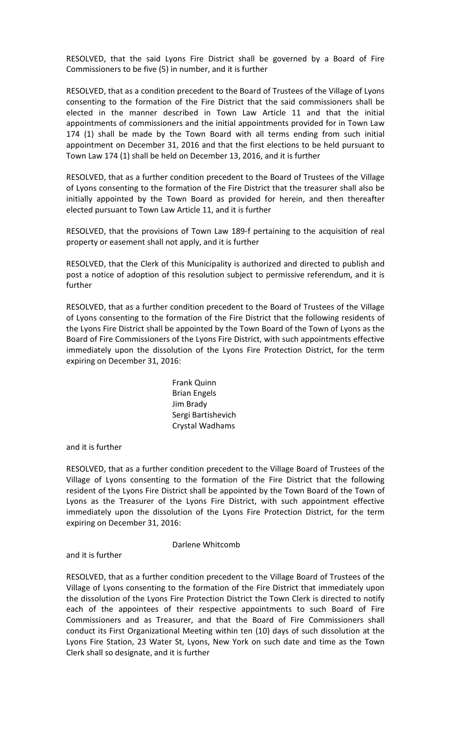RESOLVED, that the said Lyons Fire District shall be governed by a Board of Fire Commissioners to be five (5) in number, and it is further

RESOLVED, that as a condition precedent to the Board of Trustees of the Village of Lyons consenting to the formation of the Fire District that the said commissioners shall be elected in the manner described in Town Law Article 11 and that the initial appointments of commissioners and the initial appointments provided for in Town Law 174 (1) shall be made by the Town Board with all terms ending from such initial appointment on December 31, 2016 and that the first elections to be held pursuant to Town Law 174 (1) shall be held on December 13, 2016, and it is further

RESOLVED, that as a further condition precedent to the Board of Trustees of the Village of Lyons consenting to the formation of the Fire District that the treasurer shall also be initially appointed by the Town Board as provided for herein, and then thereafter elected pursuant to Town Law Article 11, and it is further

RESOLVED, that the provisions of Town Law 189-f pertaining to the acquisition of real property or easement shall not apply, and it is further

RESOLVED, that the Clerk of this Municipality is authorized and directed to publish and post a notice of adoption of this resolution subject to permissive referendum, and it is further

RESOLVED, that as a further condition precedent to the Board of Trustees of the Village of Lyons consenting to the formation of the Fire District that the following residents of the Lyons Fire District shall be appointed by the Town Board of the Town of Lyons as the Board of Fire Commissioners of the Lyons Fire District, with such appointments effective immediately upon the dissolution of the Lyons Fire Protection District, for the term expiring on December 31, 2016:

> Frank Quinn Brian Engels Jim Brady Sergi Bartishevich Crystal Wadhams

and it is further

RESOLVED, that as a further condition precedent to the Village Board of Trustees of the Village of Lyons consenting to the formation of the Fire District that the following resident of the Lyons Fire District shall be appointed by the Town Board of the Town of Lyons as the Treasurer of the Lyons Fire District, with such appointment effective immediately upon the dissolution of the Lyons Fire Protection District, for the term expiring on December 31, 2016:

## Darlene Whitcomb

and it is further

RESOLVED, that as a further condition precedent to the Village Board of Trustees of the Village of Lyons consenting to the formation of the Fire District that immediately upon the dissolution of the Lyons Fire Protection District the Town Clerk is directed to notify each of the appointees of their respective appointments to such Board of Fire Commissioners and as Treasurer, and that the Board of Fire Commissioners shall conduct its First Organizational Meeting within ten (10) days of such dissolution at the Lyons Fire Station, 23 Water St, Lyons, New York on such date and time as the Town Clerk shall so designate, and it is further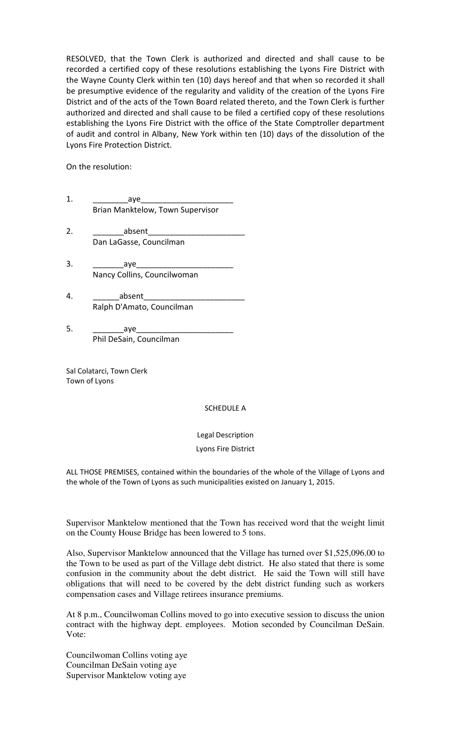RESOLVED, that the Town Clerk is authorized and directed and shall cause to be recorded a certified copy of these resolutions establishing the Lyons Fire District with the Wayne County Clerk within ten (10) days hereof and that when so recorded it shall be presumptive evidence of the regularity and validity of the creation of the Lyons Fire District and of the acts of the Town Board related thereto, and the Town Clerk is further authorized and directed and shall cause to be filed a certified copy of these resolutions establishing the Lyons Fire District with the office of the State Comptroller department of audit and control in Albany, New York within ten (10) days of the dissolution of the Lyons Fire Protection District.

On the resolution:

- 1. \_\_\_\_\_\_\_\_aye\_\_\_\_\_\_\_\_\_\_\_\_\_\_\_\_\_\_\_\_\_ Brian Manktelow, Town Supervisor
- 2. \_\_\_\_\_\_\_absent\_\_\_\_\_\_\_\_\_\_\_\_\_\_\_\_\_\_\_\_\_\_ Dan LaGasse, Councilman
- 3. zaye Nancy Collins, Councilwoman
- 4. absent Ralph D'Amato, Councilman
- 5. \_\_\_\_\_\_\_aye\_\_\_\_\_\_\_\_\_\_\_\_\_\_\_\_\_\_\_\_\_\_ Phil DeSain, Councilman

Sal Colatarci, Town Clerk Town of Lyons

SCHEDULE A

Legal Description

Lyons Fire District

ALL THOSE PREMISES, contained within the boundaries of the whole of the Village of Lyons and the whole of the Town of Lyons as such municipalities existed on January 1, 2015.

Supervisor Manktelow mentioned that the Town has received word that the weight limit on the County House Bridge has been lowered to 5 tons.

Also, Supervisor Manktelow announced that the Village has turned over \$1,525,096.00 to the Town to be used as part of the Village debt district. He also stated that there is some confusion in the community about the debt district. He said the Town will still have obligations that will need to be covered by the debt district funding such as workers compensation cases and Village retirees insurance premiums.

At 8 p.m., Councilwoman Collins moved to go into executive session to discuss the union contract with the highway dept. employees. Motion seconded by Councilman DeSain. Vote:

Councilwoman Collins voting aye Councilman DeSain voting aye Supervisor Manktelow voting aye